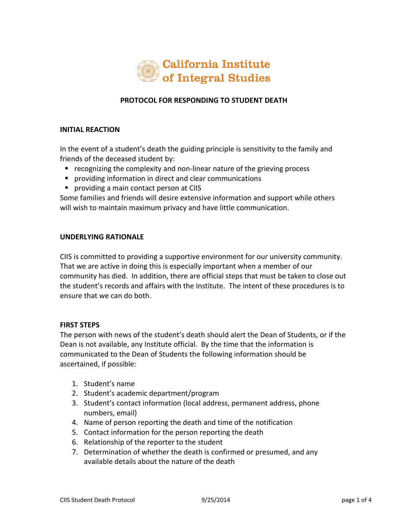

# **PROTOCOL FOR RESPONDING TO STUDENT DEATH**

### **INITIAL REACTION**

In the event of a student's death the guiding principle is sensitivity to the family and friends of the deceased student by:

- recognizing the complexity and non-linear nature of the grieving process
- providing information in direct and clear communications
- **P** providing a main contact person at CIIS

Some families and friends will desire extensive information and support while others will wish to maintain maximum privacy and have little communication.

#### **UNDERLYING RATIONALE**

CIIS is committed to providing a supportive environment for our university community. That we are active in doing this is especially important when a member of our community has died. In addition, there are official steps that must be taken to close out the student's records and affairs with the Institute. The intent of these procedures is to ensure that we can do both.

#### **FIRST STEPS**

The person with news of the student's death should alert the Dean of Students, or if the Dean is not available, any Institute official. By the time that the information is communicated to the Dean of Students the following information should be ascertained, if possible:

- 1. Student's name
- 2. Student's academic department/program
- 3. Student's contact information (local address, permanent address, phone numbers, email)
- 4. Name of person reporting the death and time of the notification
- 5. Contact information for the person reporting the death
- 6. Relationship of the reporter to the student
- 7. Determination of whether the death is confirmed or presumed, and any available details about the nature of the death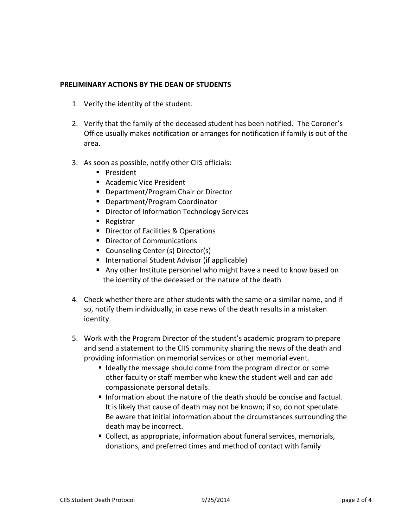## **PRELIMINARY ACTIONS BY THE DEAN OF STUDENTS**

- 1. Verify the identity of the student.
- 2. Verify that the family of the deceased student has been notified. The Coroner's Office usually makes notification or arranges for notification if family is out of the area.
- 3. As soon as possible, notify other CIIS officials:
	- **President**
	- Academic Vice President
	- Department/Program Chair or Director
	- Department/Program Coordinator
	- **Director of Information Technology Services**
	- **Registrar**
	- **Director of Facilities & Operations**
	- Director of Communications
	- Counseling Center (s) Director(s)
	- **International Student Advisor (if applicable)**
	- Any other Institute personnel who might have a need to know based on the identity of the deceased or the nature of the death
- 4. Check whether there are other students with the same or a similar name, and if so, notify them individually, in case news of the death results in a mistaken identity.
- 5. Work with the Program Director of the student's academic program to prepare and send a statement to the CIIS community sharing the news of the death and providing information on memorial services or other memorial event.
	- Ideally the message should come from the program director or some other faculty or staff member who knew the student well and can add compassionate personal details.
	- Information about the nature of the death should be concise and factual. It is likely that cause of death may not be known; if so, do not speculate. Be aware that initial information about the circumstances surrounding the death may be incorrect.
	- Collect, as appropriate, information about funeral services, memorials, donations, and preferred times and method of contact with family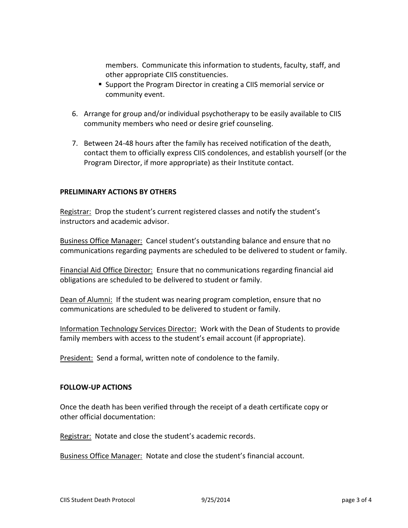members. Communicate this information to students, faculty, staff, and other appropriate CIIS constituencies.

- Support the Program Director in creating a CIIS memorial service or community event.
- 6. Arrange for group and/or individual psychotherapy to be easily available to CIIS community members who need or desire grief counseling.
- 7. Between 24-48 hours after the family has received notification of the death, contact them to officially express CIIS condolences, and establish yourself (or the Program Director, if more appropriate) as their Institute contact.

## **PRELIMINARY ACTIONS BY OTHERS**

Registrar: Drop the student's current registered classes and notify the student's instructors and academic advisor.

Business Office Manager: Cancel student's outstanding balance and ensure that no communications regarding payments are scheduled to be delivered to student or family.

Financial Aid Office Director: Ensure that no communications regarding financial aid obligations are scheduled to be delivered to student or family.

Dean of Alumni: If the student was nearing program completion, ensure that no communications are scheduled to be delivered to student or family.

Information Technology Services Director: Work with the Dean of Students to provide family members with access to the student's email account (if appropriate).

President: Send a formal, written note of condolence to the family.

## **FOLLOW-UP ACTIONS**

Once the death has been verified through the receipt of a death certificate copy or other official documentation:

Registrar: Notate and close the student's academic records.

Business Office Manager: Notate and close the student's financial account.